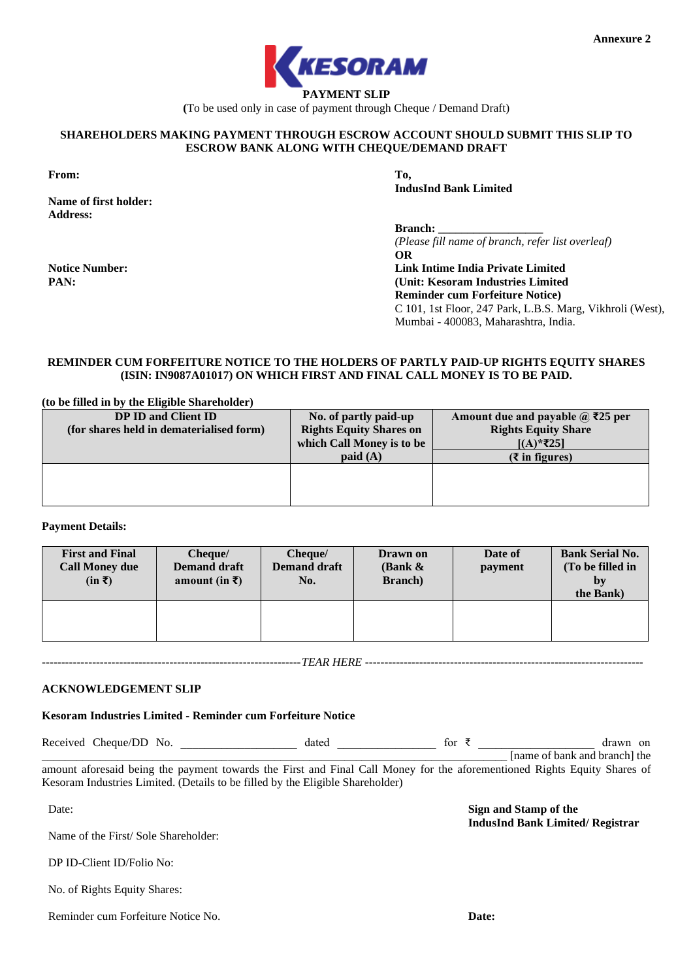

**(**To be used only in case of payment through Cheque / Demand Draft)

### **SHAREHOLDERS MAKING PAYMENT THROUGH ESCROW ACCOUNT SHOULD SUBMIT THIS SLIP TO ESCROW BANK ALONG WITH CHEQUE/DEMAND DRAFT**

**From: To,**

**PAN:**

**Name of first holder: Address:**

**Notice Number:**

**IndusInd Bank Limited**

**Branch:** 

*(Please fill name of branch, refer list overleaf)* **OR Link Intime India Private Limited (Unit: Kesoram Industries Limited Reminder cum Forfeiture Notice)**

Mumbai - 400083, Maharashtra, India.

C 101, 1st Floor, 247 Park, L.B.S. Marg, Vikhroli (West),

# **REMINDER CUM FORFEITURE NOTICE TO THE HOLDERS OF PARTLY PAID-UP RIGHTS EQUITY SHARES (ISIN: IN9087A01017) ON WHICH FIRST AND FINAL CALL MONEY IS TO BE PAID.**

**(to be filled in by the Eligible Shareholder)**

| DP ID and Client ID                      | No. of partly paid-up          | Amount due and payable $\omega$ ₹25 per |  |
|------------------------------------------|--------------------------------|-----------------------------------------|--|
| (for shares held in dematerialised form) | <b>Rights Equity Shares on</b> | <b>Rights Equity Share</b>              |  |
|                                          | which Call Money is to be      | $[(A)*725]$                             |  |
|                                          | $p$ aid $(A)$                  | $(3 \times 1)$ figures)                 |  |
|                                          |                                |                                         |  |
|                                          |                                |                                         |  |
|                                          |                                |                                         |  |

## **Payment Details:**

| <b>First and Final</b><br><b>Call Money due</b><br>$(in \bar{z})$ | Cheque/<br><b>Demand draft</b><br>amount (in $\bar{x}$ ) | Cheque/<br><b>Demand draft</b><br>No. | Drawn on<br>(Bank $\&$<br><b>Branch</b> ) | Date of<br>payment | <b>Bank Serial No.</b><br>(To be filled in<br>by<br>the Bank) |
|-------------------------------------------------------------------|----------------------------------------------------------|---------------------------------------|-------------------------------------------|--------------------|---------------------------------------------------------------|
|                                                                   |                                                          |                                       |                                           |                    |                                                               |

*-------------------------------------------------------------------TEAR HERE ------------------------------------------------------------------------*

**ACKNOWLEDGEMENT SLIP**

# **Kesoram Industries Limited - Reminder cum Forfeiture Notice**

Received Cheque/DD No. \_\_\_\_\_\_\_\_\_\_\_\_\_\_\_\_\_\_\_\_\_\_\_ dated \_\_\_\_\_\_\_\_\_\_\_\_\_\_\_\_\_\_\_\_\_ for ₹ \_\_\_\_\_\_\_\_\_\_\_\_\_\_\_\_\_\_\_\_\_\_\_ drawn on \_\_\_\_\_\_\_\_\_\_\_\_\_\_\_\_\_\_\_\_\_\_\_\_\_\_\_\_\_\_\_\_\_\_\_\_\_\_\_\_\_\_\_\_\_\_\_\_\_\_\_\_\_\_\_\_\_\_\_\_\_\_\_\_\_\_\_\_\_\_\_\_\_\_\_\_\_\_\_\_ [name of bank and branch] the

amount aforesaid being the payment towards the First and Final Call Money for the aforementioned Rights Equity Shares of Kesoram Industries Limited. (Details to be filled by the Eligible Shareholder)

Date:

Name of the First/ Sole Shareholder:

DP ID-Client ID/Folio No:

No. of Rights Equity Shares:

Reminder cum Forfeiture Notice No.

**Sign and Stamp of the** 

**IndusInd Bank Limited/ Registrar**